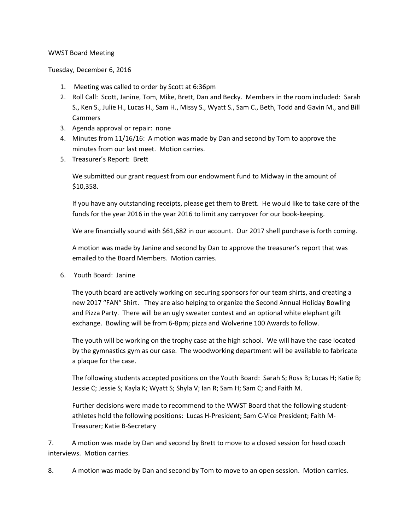## WWST Board Meeting

Tuesday, December 6, 2016

- 1. Meeting was called to order by Scott at 6:36pm
- 2. Roll Call: Scott, Janine, Tom, Mike, Brett, Dan and Becky. Members in the room included: Sarah S., Ken S., Julie H., Lucas H., Sam H., Missy S., Wyatt S., Sam C., Beth, Todd and Gavin M., and Bill Cammers
- 3. Agenda approval or repair: none
- 4. Minutes from 11/16/16: A motion was made by Dan and second by Tom to approve the minutes from our last meet. Motion carries.
- 5. Treasurer's Report: Brett

We submitted our grant request from our endowment fund to Midway in the amount of \$10,358.

If you have any outstanding receipts, please get them to Brett. He would like to take care of the funds for the year 2016 in the year 2016 to limit any carryover for our book-keeping.

We are financially sound with \$61,682 in our account. Our 2017 shell purchase is forth coming.

A motion was made by Janine and second by Dan to approve the treasurer's report that was emailed to the Board Members. Motion carries.

6. Youth Board: Janine

The youth board are actively working on securing sponsors for our team shirts, and creating a new 2017 "FAN" Shirt. They are also helping to organize the Second Annual Holiday Bowling and Pizza Party. There will be an ugly sweater contest and an optional white elephant gift exchange. Bowling will be from 6-8pm; pizza and Wolverine 100 Awards to follow.

The youth will be working on the trophy case at the high school. We will have the case located by the gymnastics gym as our case. The woodworking department will be available to fabricate a plaque for the case.

The following students accepted positions on the Youth Board: Sarah S; Ross B; Lucas H; Katie B; Jessie C; Jessie S; Kayla K; Wyatt S; Shyla V; Ian R; Sam H; Sam C; and Faith M.

Further decisions were made to recommend to the WWST Board that the following studentathletes hold the following positions: Lucas H-President; Sam C-Vice President; Faith M-Treasurer; Katie B-Secretary

7. A motion was made by Dan and second by Brett to move to a closed session for head coach interviews. Motion carries.

8. A motion was made by Dan and second by Tom to move to an open session. Motion carries.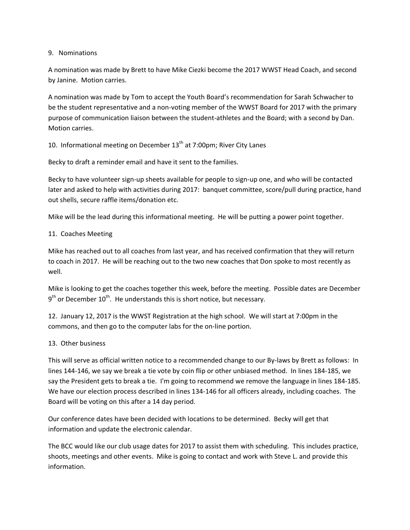## 9. Nominations

A nomination was made by Brett to have Mike Ciezki become the 2017 WWST Head Coach, and second by Janine. Motion carries.

A nomination was made by Tom to accept the Youth Board's recommendation for Sarah Schwacher to be the student representative and a non-voting member of the WWST Board for 2017 with the primary purpose of communication liaison between the student-athletes and the Board; with a second by Dan. Motion carries.

10. Informational meeting on December  $13<sup>th</sup>$  at 7:00pm; River City Lanes

Becky to draft a reminder email and have it sent to the families.

Becky to have volunteer sign-up sheets available for people to sign-up one, and who will be contacted later and asked to help with activities during 2017: banquet committee, score/pull during practice, hand out shells, secure raffle items/donation etc.

Mike will be the lead during this informational meeting. He will be putting a power point together.

## 11. Coaches Meeting

Mike has reached out to all coaches from last year, and has received confirmation that they will return to coach in 2017. He will be reaching out to the two new coaches that Don spoke to most recently as well.

Mike is looking to get the coaches together this week, before the meeting. Possible dates are December  $9<sup>th</sup>$  or December  $10<sup>th</sup>$ . He understands this is short notice, but necessary.

12. January 12, 2017 is the WWST Registration at the high school. We will start at 7:00pm in the commons, and then go to the computer labs for the on-line portion.

## 13. Other business

This will serve as official written notice to a recommended change to our By-laws by Brett as follows: In lines 144-146, we say we break a tie vote by coin flip or other unbiased method. In lines 184-185, we say the President gets to break a tie. I'm going to recommend we remove the language in lines 184-185. We have our election process described in lines 134-146 for all officers already, including coaches. The Board will be voting on this after a 14 day period.

Our conference dates have been decided with locations to be determined. Becky will get that information and update the electronic calendar.

The BCC would like our club usage dates for 2017 to assist them with scheduling. This includes practice, shoots, meetings and other events. Mike is going to contact and work with Steve L. and provide this information.